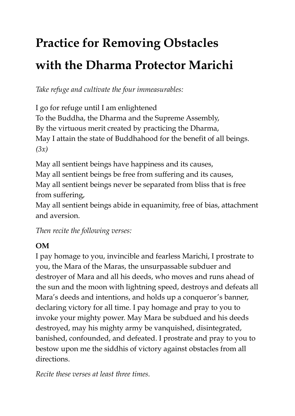## **Practice for Removing Obstacles with the Dharma Protector Marichi**

*Take refuge and cultivate the four immeasurables:*

I go for refuge until I am enlightened To the Buddha, the Dharma and the Supreme Assembly, By the virtuous merit created by practicing the Dharma, May I attain the state of Buddhahood for the benefit of all beings. *(3x)*

May all sentient beings have happiness and its causes, May all sentient beings be free from suffering and its causes, May all sentient beings never be separated from bliss that is free from suffering,

May all sentient beings abide in equanimity, free of bias, attachment and aversion.

*Then recite the following verses:*

## **OM**

I pay homage to you, invincible and fearless Marichi, I prostrate to you, the Mara of the Maras, the unsurpassable subduer and destroyer of Mara and all his deeds, who moves and runs ahead of the sun and the moon with lightning speed, destroys and defeats all Mara's deeds and intentions, and holds up a conqueror's banner, declaring victory for all time. I pay homage and pray to you to invoke your mighty power. May Mara be subdued and his deeds destroyed, may his mighty army be vanquished, disintegrated, banished, confounded, and defeated. I prostrate and pray to you to bestow upon me the siddhis of victory against obstacles from all directions.

*Recite these verses at least three times.*